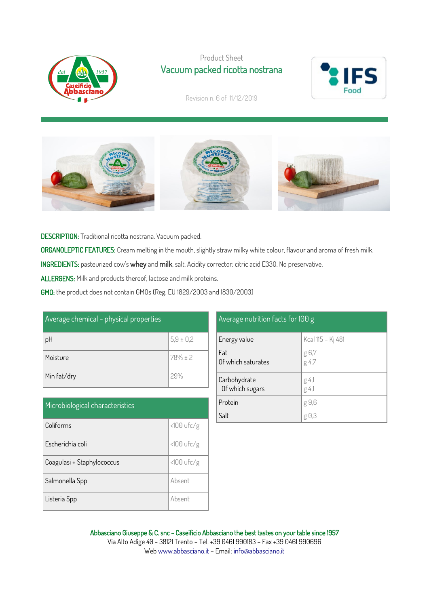

## Product Sheet Vacuum packed ricotta nostrana



Revision n. 6 of 11/12/2019



DESCRIPTION: Traditional ricotta nostrana. Vacuum packed.

ORGANOLEPTIC FEATURES: Cream melting in the mouth, slightly straw milky white colour, flavour and aroma of fresh milk.

INGREDIENTS: pasteurized cow's whey and milk, salt. Acidity corrector: citric acid E330. No preservative.

ALLERGENS: Milk and products thereof, lactose and milk proteins.

GMO: the product does not contain GMOs (Reg. EU 1829/2003 and 1830/2003)

| Average chemical - physical properties |               |  |
|----------------------------------------|---------------|--|
| pH                                     | $5,9 \pm 0,2$ |  |
| Moisture                               | $78% \pm 2$   |  |
| Min fat/dry                            | 29%           |  |

| Microbiological characteristics |              |  |
|---------------------------------|--------------|--|
| Coliforms                       | $<100$ ufc/g |  |
| Escherichia coli                | $<100$ ufc/g |  |
| Coagulasi + Staphylococcus      | $<100$ ufc/g |  |
| Salmonella Spp                  | Absent       |  |
| Listeria Spp                    | Absent       |  |

## Average nutrition facts for 100 g

| Energy value                    | Kcal 115 - Kj 481 |
|---------------------------------|-------------------|
| Fat<br>Of which saturates       | g 6,7<br>g 4,7    |
| Carbohydrate<br>Of which sugars | g 4,1<br>g 4,1    |
| Protein                         | g 9,6             |
| Salt                            | g 0,3             |

Abbasciano Giuseppe & C. snc - Caseificio Abbasciano the best tastes on your table since 1957 Via Alto Adige 40 - 38121 Trento – Tel. +39 0461 990183 – Fax +39 0461 990696 We[b www.abbasciano.it](http://www.abbasciano.it/) – Email[: info@abbasciano.it](mailto:info@abbasciano.it)